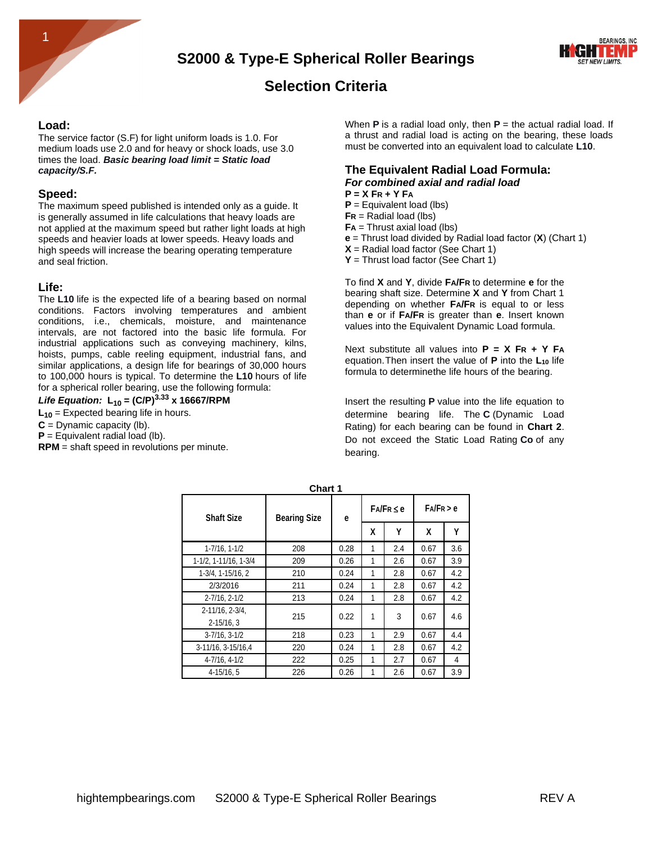

## **Selection Criteria**

#### **Load:**

The service factor (S.F) for light uniform loads is 1.0. For medium loads use 2.0 and for heavy or shock loads, use 3.0 times the load. *Basic bearing load limit = Static load capacity/S.F.*

#### **Speed:**

The maximum speed published is intended only as a guide. It is generally assumed in life calculations that heavy loads are not applied at the maximum speed but rather light loads at high speeds and heavier loads at lower speeds. Heavy loads and high speeds will increase the bearing operating temperature and seal friction.

#### **Life:**

The **L10** life is the expected life of a bearing based on normal conditions. Factors involving temperatures and ambient conditions, i.e., chemicals, moisture, and maintenance intervals, are not factored into the basic life formula. For industrial applications such as conveying machinery, kilns, hoists, pumps, cable reeling equipment, industrial fans, and similar applications, a design life for bearings of 30,000 hours to 100,000 hours is typical. To determine the **L10** hours of life for a spherical roller bearing, use the following formula:

Life Equation: 
$$
L_{10} = (C/P)^{3.33} \times 16667/RPM
$$

**L<sup>10</sup>** = Expected bearing life in hours.

- $C = D$ ynamic capacity (lb).
- $P =$  Equivalent radial load (lb).

**RPM** = shaft speed in revolutions per minute.

When **P** is a radial load only, then **P** = the actual radial load. If a thrust and radial load is acting on the bearing, these loads must be converted into an equivalent load to calculate **L10**.

#### **The Equivalent Radial Load Formula:** *For combined axial and radial load*

- **P = X FR + Y FA**
- **P** = Equivalent load (lbs)
- **FR** = Radial load (lbs)
- **FA** = Thrust axial load (lbs)
- **e** = Thrust load divided by Radial load factor (**X**) (Chart 1)
- $X =$  Radial load factor (See Chart 1)
- **Y** = Thrust load factor (See Chart 1)

To find **X** and **Y**, divide **FA/FR** to determine **e** for the bearing shaft size. Determine **X** and **Y** from Chart 1 depending on whether **FA/FR** is equal to or less than **e** or if **FA/FR** is greater than **e**. Insert known values into the Equivalent Dynamic Load formula.

Next substitute all values into **P = X FR + Y FA** equation.Then insert the value of **P** into the **L<sup>10</sup>** life formula to determinethe life hours of the bearing.

Insert the resulting **P** value into the life equation to determine bearing life. The **C** (Dynamic Load Rating) for each bearing can be found in **Chart 2**. Do not exceed the Static Load Rating **Co** of any bearing.

| <b>Shaft Size</b>               | <b>Bearing Size</b> | е    | $FA/FR \leq e$ |     | FA/FR > e |     |
|---------------------------------|---------------------|------|----------------|-----|-----------|-----|
|                                 |                     |      | χ              | Υ   | X         | Υ   |
| 1-7/16, 1-1/2                   | 208                 | 0.28 | 1              | 2.4 | 0.67      | 3.6 |
| 1-1/2, 1-11/16, 1-3/4           | 209                 | 0.26 | 1              | 2.6 | 0.67      | 3.9 |
| 1-3/4, 1-15/16, 2               | 210                 | 0.24 | 1              | 2.8 | 0.67      | 4.2 |
| 2/3/2016                        | 211                 | 0.24 | 1              | 2.8 | 0.67      | 4.2 |
| $2 - 7/16.2 - 1/2$              | 213                 | 0.24 | 1              | 2.8 | 0.67      | 4.2 |
| 2-11/16.2-3/4.<br>$2 - 15/16.3$ | 215                 | 0.22 | 1              | 3   | 0.67      | 4.6 |
| $3 - 7/16$ , $3 - 1/2$          | 218                 | 0.23 | 1              | 2.9 | 0.67      | 4.4 |
| 3-11/16, 3-15/16.4              | 220                 | 0.24 | 1              | 2.8 | 0.67      | 4.2 |
| 4-7/16, 4-1/2                   | 222                 | 0.25 | 1              | 2.7 | 0.67      | 4   |
| $4 - 15/16.5$                   | 226                 | 0.26 | 1              | 2.6 | 0.67      | 3.9 |

**Chart 1**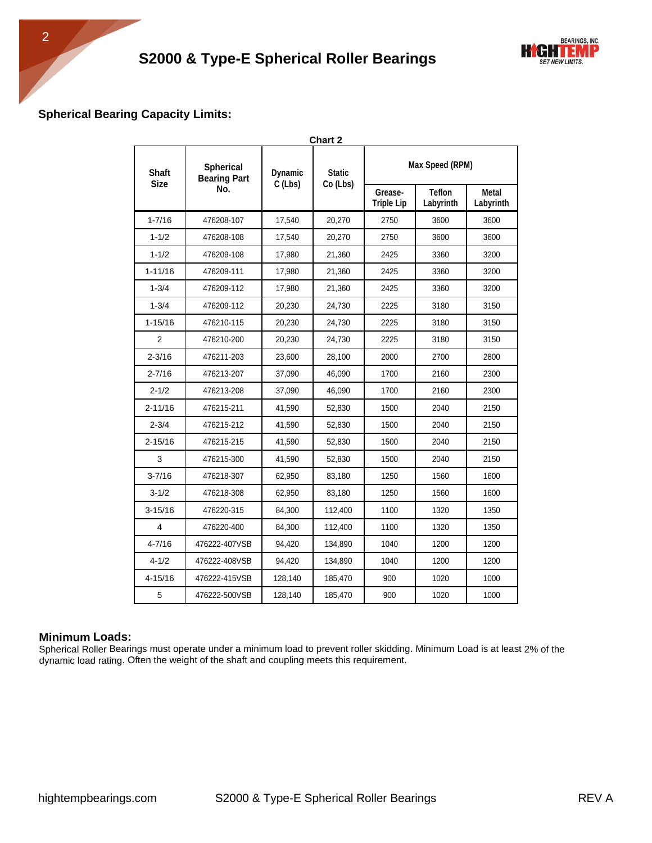

## **Spherical Bearing Capacity Limits:**

| <b>Chart 2</b>              |                                         |                             |                              |                            |                    |      |  |  |  |
|-----------------------------|-----------------------------------------|-----------------------------|------------------------------|----------------------------|--------------------|------|--|--|--|
| <b>Shaft</b><br><b>Size</b> | <b>Spherical</b><br><b>Bearing Part</b> | <b>Dynamic</b><br>$C$ (Lbs) | <b>Static</b><br>Co (Lbs)    | Max Speed (RPM)            |                    |      |  |  |  |
|                             | No.                                     |                             | Grease-<br><b>Triple Lip</b> | <b>Teflon</b><br>Labyrinth | Metal<br>Labyrinth |      |  |  |  |
| $1 - 7/16$                  | 476208-107                              | 17,540                      | 20,270                       | 2750                       | 3600               | 3600 |  |  |  |
| $1 - 1/2$                   | 476208-108                              | 17,540                      | 20,270                       | 2750                       | 3600               | 3600 |  |  |  |
| $1 - 1/2$                   | 476209-108                              | 17,980                      | 21,360                       | 2425                       | 3360               | 3200 |  |  |  |
| $1 - 11/16$                 | 476209-111                              | 17,980                      | 21,360                       | 2425                       | 3360               | 3200 |  |  |  |
| $1 - 3/4$                   | 476209-112                              | 17,980                      | 21,360                       | 2425                       | 3360               | 3200 |  |  |  |
| $1 - 3/4$                   | 476209-112                              | 20,230                      | 24,730                       | 2225                       | 3180               | 3150 |  |  |  |
| $1 - 15/16$                 | 476210-115                              | 20,230                      | 24,730                       | 2225                       | 3180               | 3150 |  |  |  |
| 2                           | 476210-200                              | 20,230                      | 24,730                       | 2225                       | 3180               | 3150 |  |  |  |
| $2 - 3/16$                  | 476211-203                              | 23,600                      | 28,100                       | 2000                       | 2700               | 2800 |  |  |  |
| $2 - 7/16$                  | 476213-207                              | 37,090                      | 46,090                       | 1700                       | 2160               | 2300 |  |  |  |
| $2 - 1/2$                   | 476213-208                              | 37,090                      | 46,090                       | 1700                       | 2160               | 2300 |  |  |  |
| $2 - 11/16$                 | 476215-211                              | 41,590                      | 52,830                       | 1500                       | 2040               | 2150 |  |  |  |
| $2 - 3/4$                   | 476215-212                              | 41,590                      | 52,830                       | 1500                       | 2040               | 2150 |  |  |  |
| $2 - 15/16$                 | 476215-215                              | 41,590                      | 52,830                       | 1500                       | 2040               | 2150 |  |  |  |
| 3                           | 476215-300                              | 41,590                      | 52,830                       | 1500                       | 2040               | 2150 |  |  |  |
| $3 - 7/16$                  | 476218-307                              | 62,950                      | 83,180                       | 1250                       | 1560               | 1600 |  |  |  |
| $3 - 1/2$                   | 476218-308                              | 62,950                      | 83,180                       | 1250                       | 1560               | 1600 |  |  |  |
| $3 - 15/16$                 | 476220-315                              | 84,300                      | 112,400                      | 1100                       | 1320               | 1350 |  |  |  |
| 4                           | 476220-400                              | 84,300                      | 112,400                      | 1100                       | 1320               | 1350 |  |  |  |
| $4 - 7/16$                  | 476222-407VSB                           | 94.420                      | 134,890                      | 1040                       | 1200               | 1200 |  |  |  |
| $4 - 1/2$                   | 476222-408VSB                           | 94,420                      | 134,890                      | 1040                       | 1200               | 1200 |  |  |  |
| 4-15/16                     | 476222-415VSB                           | 128,140                     | 185,470                      | 900                        | 1020               | 1000 |  |  |  |
| 5                           | 476222-500VSB                           | 128,140                     | 185,470                      | 900                        | 1020               | 1000 |  |  |  |

#### **Minimum Loads:**

Spherical Roller Bearings must operate under a minimum load to prevent roller skidding. Minimum Load is at least 2% of the dynamic load rating. Often the weight of the shaft and coupling meets this requirement.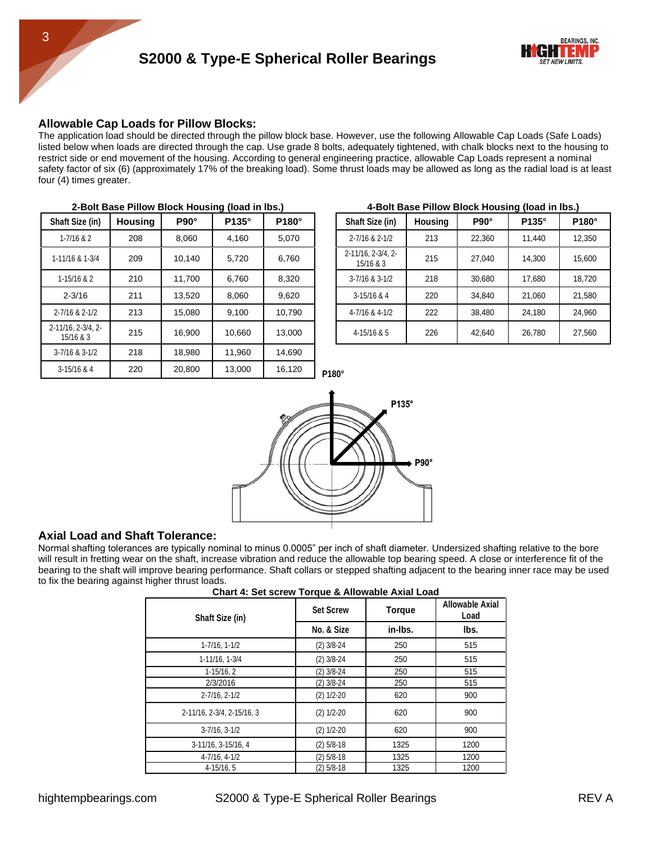#### **Allowable Cap Loads for Pillow Blocks:**

The application load should be directed through the pillow block base. However, use the following Allowable Cap Loads (Safe Loads) listed below when loads are directed through the cap. Use grade 8 bolts, adequately tightened, with chalk blocks next to the housing to restrict side or end movement of the housing. According to general engineering practice, allowable Cap Loads represent a nominal safety factor of six (6) (approximately 17% of the breaking load). Some thrust loads may be allowed as long as the radial load is at least four (4) times greater.

|                                 | <u>2-DUILDASE FIIIUW DIUCK HUUSING (IUAU III IDS.)</u> |             |        |        | <b>4-DUIL DASC FINOW DIVCK HOUSING (IVAG IN IDS.)</b> |                                 |                |             |        |        |
|---------------------------------|--------------------------------------------------------|-------------|--------|--------|-------------------------------------------------------|---------------------------------|----------------|-------------|--------|--------|
| Shaft Size (in)                 | <b>Housing</b>                                         | $P90^\circ$ | P135°  | P180°  |                                                       | Shaft Size (in)                 | <b>Housing</b> | $P90^\circ$ | P135°  | P180°  |
| $1 - 7/16$ & 2                  | 208                                                    | 8,060       | 4,160  | 5,070  |                                                       | 2-7/16 & 2-1/2                  | 213            | 22,360      | 11,440 | 12,350 |
| 1-11/16 & 1-3/4                 | 209                                                    | 10,140      | 5,720  | 6,760  |                                                       | 2-11/16, 2-3/4, 2-<br>15/16 & 3 | 215            | 27,040      | 14,300 | 15,600 |
| $1 - 15/16 & 2$                 | 210                                                    | 11,700      | 6,760  | 8,320  |                                                       | 3-7/16 & 3-1/2                  | 218            | 30,680      | 17,680 | 18,720 |
| $2 - 3/16$                      | 211                                                    | 13,520      | 8,060  | 9,620  |                                                       | $3 - 15/16$ & 4                 | 220            | 34,840      | 21,060 | 21,580 |
| 2-7/16 & 2-1/2                  | 213                                                    | 15,080      | 9,100  | 10,790 |                                                       | 4-7/16 & 4-1/2                  | 222            | 38,480      | 24,180 | 24,960 |
| 2-11/16, 2-3/4, 2-<br>15/16 & 3 | 215                                                    | 16,900      | 10,660 | 13,000 |                                                       | 4-15/16 & 5                     | 226            | 42,640      | 26,780 | 27,560 |
| 3-7/16 & 3-1/2                  | 218                                                    | 18,980      | 11,960 | 14,690 |                                                       |                                 |                |             |        |        |
| $3 - 15/16$ & 4                 | 220                                                    | 20,800      | 13,000 | 16,120 | P180°                                                 |                                 |                |             |        |        |

#### **2-Bolt Base Pillow Block Housing (load in lbs.) 4-Bolt Base Pillow Block Housing (load in lbs.)**

| naft Size (in)                       | <b>Housing</b> | $P90^\circ$ | P135°  | P180°  | Shaft Size (in)                 | <b>Housing</b> | $P90^\circ$ | $P135^\circ$ | P180°  |  |
|--------------------------------------|----------------|-------------|--------|--------|---------------------------------|----------------|-------------|--------------|--------|--|
| $1 - 7/16$ & 2                       | 208            | 8.060       | 4.160  | 5,070  | 2-7/16 & 2-1/2                  | 213            | 22,360      | 11.440       | 12,350 |  |
| 11/16 & 1-3/4                        | 209            | 10.140      | 5.720  | 6.760  | 2-11/16, 2-3/4, 2-<br>15/16 & 3 | 215            | 27.040      | 14.300       | 15,600 |  |
| 1-15/16 & 2                          | 210            | 11.700      | 6.760  | 8.320  | $3 - 7/16$ & $3 - 1/2$          | 218            | 30.680      | 17.680       | 18,720 |  |
| $2 - 3/16$                           | 211            | 13.520      | 8.060  | 9,620  | $3 - 15/16$ & 4                 | 220            | 34,840      | 21.060       | 21,580 |  |
| -7/16 & 2-1/2                        | 213            | 15.080      | 9.100  | 10,790 | 4-7/16 & 4-1/2                  | 222            | 38,480      | 24,180       | 24,960 |  |
| $1/16$ , $2-3/4$ , $2-$<br>15/16 & 3 | 215            | 16.900      | 10.660 | 13,000 | 4-15/16 & 5                     | 226            | 42,640      | 26,780       | 27,560 |  |
|                                      |                |             |        |        |                                 |                |             |              |        |  |



#### **Axial Load and Shaft Tolerance:**

Normal shafting tolerances are typically nominal to minus 0.0005" per inch of shaft diameter. Undersized shafting relative to the bore will result in fretting wear on the shaft, increase vibration and reduce the allowable top bearing speed. A close or interference fit of the bearing to the shaft will improve bearing performance. Shaft collars or stepped shafting adjacent to the bearing inner race may be used to fix the bearing against higher thrust loads.

|  | Chart 4: Set screw Torque & Allowable Axial Load |
|--|--------------------------------------------------|
|--|--------------------------------------------------|

| Shaft Size (in)            | <b>Set Screw</b> | Torque  | Allowable Axial<br>Load |
|----------------------------|------------------|---------|-------------------------|
|                            | No. & Size       | in-Ibs. | lbs.                    |
| $1 - 7/16$ , $1 - 1/2$     | $(2)$ 3/8-24     | 250     | 515                     |
| 1-11/16, 1-3/4             | $(2)$ 3/8-24     | 250     | 515                     |
| $1-15/16.2$                | $(2)$ 3/8-24     | 250     | 515                     |
| 2/3/2016                   | $(2)$ 3/8-24     | 250     | 515                     |
| $2 - 7/16$ , $2 - 1/2$     | $(2) 1/2 - 20$   | 620     | 900                     |
| 2-11/16, 2-3/4, 2-15/16, 3 | $(2) 1/2 - 20$   | 620     | 900                     |
| $3 - 7/16$ , $3 - 1/2$     | $(2) 1/2 - 20$   | 620     | 900                     |
| 3-11/16, 3-15/16, 4        | $(2)$ 5/8-18     | 1325    | 1200                    |
| 4-7/16, 4-1/2              | $(2)$ 5/8-18     | 1325    | 1200                    |
| $4 - 15/16, 5$             | $(2)$ 5/8-18     | 1325    | 1200                    |